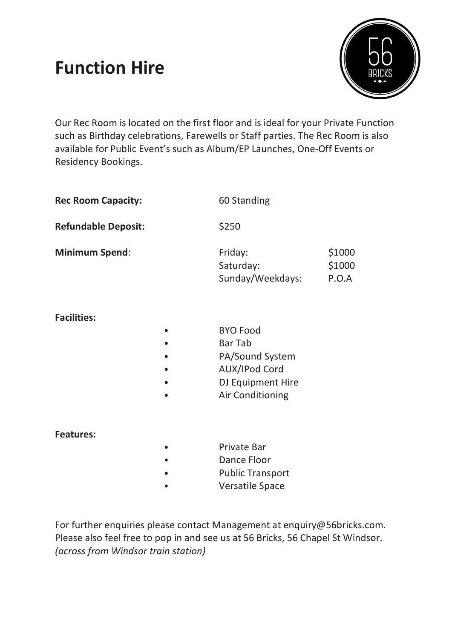# **Function Hire**



Our Rec Room is located on the first floor and is ideal for your Private Function such as Birthday celebrations, Farewells or Staff parties. The Rec Room is also available for Public Event's such as Album/EP Launches, One-Off Events or Residency Bookings.

| <b>Rec Room Capacity:</b>  |           | 60 Standing                                                                                                                  |                           |
|----------------------------|-----------|------------------------------------------------------------------------------------------------------------------------------|---------------------------|
| <b>Refundable Deposit:</b> |           | \$250                                                                                                                        |                           |
| <b>Minimum Spend:</b>      |           | Friday:<br>Saturday:<br>Sunday/Weekdays:                                                                                     | \$1000<br>\$1000<br>P.O.A |
| <b>Facilities:</b>         | $\bullet$ | <b>BYO Food</b><br><b>Bar Tab</b><br>PA/Sound System<br><b>AUX/IPod Cord</b><br>DJ Equipment Hire<br><b>Air Conditioning</b> |                           |

### **Features:**

- ⦁ Private Bar
- Dance Floor
- Public Transport
- ⦁ Versatile Space

For further enquiries please contact Management at enquiry@56bricks.com. Please also feel free to pop in and see us at 56 Bricks, 56 Chapel St Windsor. *(across from Windsor train station)*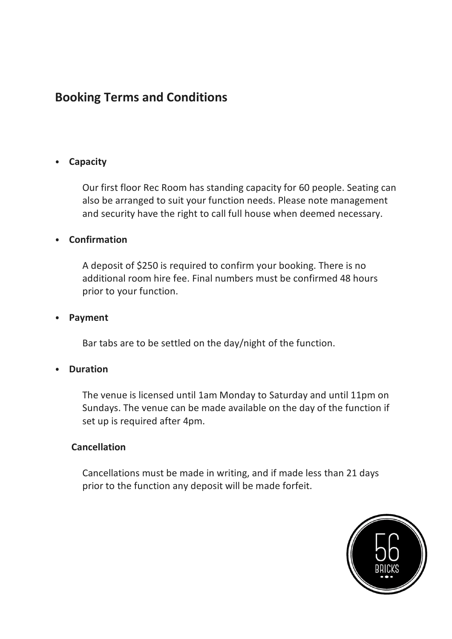## **Booking Terms and Conditions**

### ⦁ **Capacity**

Our first floor Rec Room has standing capacity for 60 people. Seating can also be arranged to suit your function needs. Please note management and security have the right to call full house when deemed necessary.

### ⦁ **Confirmation**

A deposit of \$250 is required to confirm your booking. There is no additional room hire fee. Final numbers must be confirmed 48 hours prior to your function.

#### ⦁ **Payment**

Bar tabs are to be settled on the day/night of the function.

### ⦁ **Duration**

The venue is licensed until 1am Monday to Saturday and until 11pm on Sundays. The venue can be made available on the day of the function if set up is required after 4pm.

#### **Cancellation**

Cancellations must be made in writing, and if made less than 21 days prior to the function any deposit will be made forfeit.

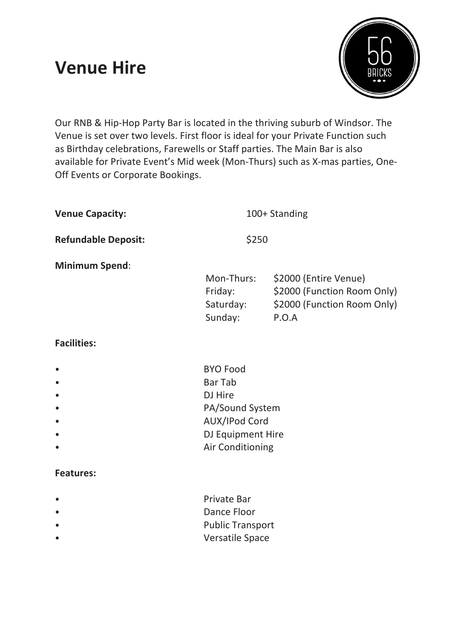# **Venue Hire**



Our RNB & Hip-Hop Party Bar is located in the thriving suburb of Windsor. The Venue is set over two levels. First floor is ideal for your Private Function such as Birthday celebrations, Farewells or Staff parties. The Main Bar is also available for Private Event's Mid week (Mon-Thurs) such as X-mas parties, One-Off Events or Corporate Bookings.

| <b>Venue Capacity:</b>     | 100+ Standing                                 |                                                                                              |
|----------------------------|-----------------------------------------------|----------------------------------------------------------------------------------------------|
| <b>Refundable Deposit:</b> | \$250                                         |                                                                                              |
| <b>Minimum Spend:</b>      | Mon-Thurs:<br>Friday:<br>Saturday:<br>Sunday: | \$2000 (Entire Venue)<br>\$2000 (Function Room Only)<br>\$2000 (Function Room Only)<br>P.O.A |
| <b>Facilities:</b>         |                                               |                                                                                              |

| <b>BYO Food</b>         |
|-------------------------|
| Bar Tab                 |
| DJ Hire                 |
| PA/Sound System         |
| <b>AUX/IPod Cord</b>    |
| DJ Equipment Hire       |
| <b>Air Conditioning</b> |

### **Features:**

| $\bullet$ | <b>Private Bar</b>      |
|-----------|-------------------------|
| $\bullet$ | Dance Floor             |
| $\bullet$ | <b>Public Transport</b> |
|           | <b>Versatile Space</b>  |